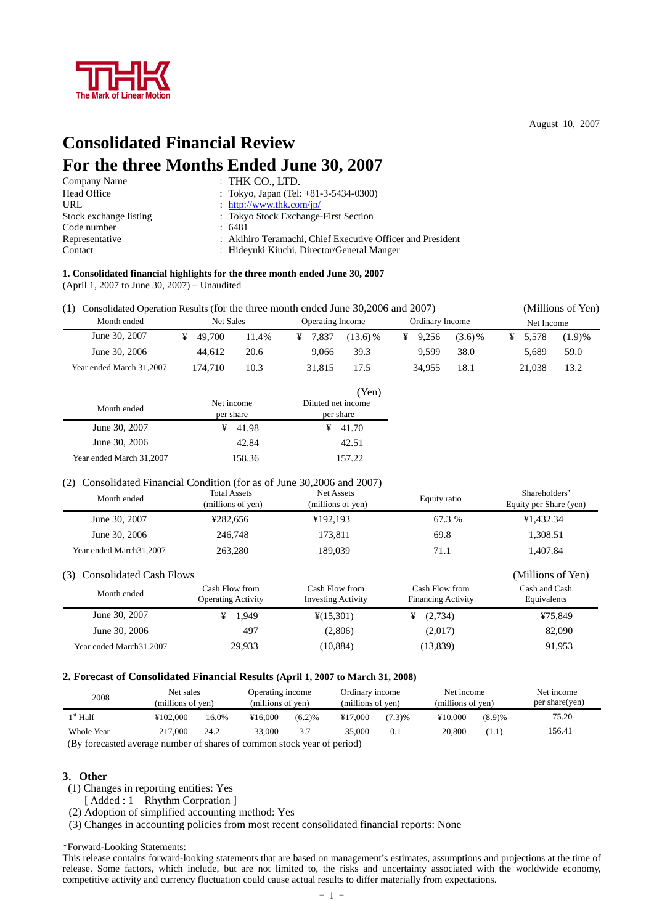

August 10, 2007

# **Consolidated Financial Review For the three Months Ended June 30, 2007**

| Company Name           | $:$ THK CO., LTD.                                          |
|------------------------|------------------------------------------------------------|
| Head Office            | : Tokyo, Japan (Tel: +81-3-5434-0300)                      |
| URL                    | : http://www.thk.com/jp/                                   |
| Stock exchange listing | : Tokyo Stock Exchange-First Section                       |
| Code number            | : 6481                                                     |
| Representative         | : Akihiro Teramachi, Chief Executive Officer and President |
| Contact                | : Hideyuki Kiuchi, Director/General Manger                 |

## **1. Consolidated financial highlights for the three month ended June 30, 2007**

(April 1, 2007 to June 30, 2007) – Unaudited

(1) Consolidated Operation Results (for the three month ended June 30,2006 and 2007) (Millions of Yen)

| Month ended              | Net Sales |       | Operating Income |            |  | Ordinary Income |           |  | Net Income |           |  |
|--------------------------|-----------|-------|------------------|------------|--|-----------------|-----------|--|------------|-----------|--|
| June 30, 2007            | 49.700    | 11.4% | 7.837            | $(13.6)$ % |  | 9.256           | $(3.6)\%$ |  | 5.578      | $(1.9)$ % |  |
| June 30, 2006            | 44.612    | 20.6  | 9.066            | 39.3       |  | 9.599           | 38.0      |  | 5.689      | 59.0      |  |
| Year ended March 31.2007 | 174.710   | 10.3  | 31,815           | 17.5       |  | 34.955          | 18.1      |  | 21.038     | 13.2      |  |

|                          |            | (Yen)              |  |  |  |  |
|--------------------------|------------|--------------------|--|--|--|--|
| Month ended              | Net income | Diluted net income |  |  |  |  |
|                          | per share  | per share          |  |  |  |  |
| June 30, 2007            | 41.98      | 41.70              |  |  |  |  |
| June 30, 2006            | 42.84      | 42.51              |  |  |  |  |
| Year ended March 31,2007 | 158.36     | 157.22             |  |  |  |  |

#### (2) Consolidated Financial Condition (for as of June 30,2006 and 2007)

| Month ended                                                       | <b>Total Assets</b><br>(millions of yen) | Net Assets<br>(millions of yen) | Equity ratio | Shareholders'<br>Equity per Share (yen) |
|-------------------------------------------------------------------|------------------------------------------|---------------------------------|--------------|-----------------------------------------|
| June 30, 2007                                                     | ¥282.656                                 | ¥192.193                        | 67.3 %       | ¥1,432.34                               |
| June 30, 2006                                                     | 246,748                                  | 173.811                         | 69.8         | 1,308.51                                |
| Year ended March 31, 2007                                         | 263,280                                  | 189,039                         | 71.1         | 1.407.84                                |
| $(2)$ $(2)$ $(3)$ $(1)$ $(1)$ $(2)$ $(3)$ $(4)$ $(5)$ $(1)$ $(1)$ |                                          |                                 |              |                                         |

| (3) Consolidated Cash Flows |                                             |                                             |                                             | (Millions of Yen)            |
|-----------------------------|---------------------------------------------|---------------------------------------------|---------------------------------------------|------------------------------|
| Month ended                 | Cash Flow from<br><b>Operating Activity</b> | Cash Flow from<br><b>Investing Activity</b> | Cash Flow from<br><b>Financing Activity</b> | Cash and Cash<br>Equivalents |
| June 30, 2007               | 1.949                                       | $\frac{1}{2}(15,301)$                       | (2,734)                                     | ¥75.849                      |
| June 30, 2006               | 497                                         | (2,806)                                     | (2,017)                                     | 82,090                       |
| Year ended March 31, 2007   | 29.933                                      | (10, 884)                                   | (13,839)                                    | 91.953                       |

#### **2. Forecast of Consolidated Financial Results (April 1, 2007 to March 31, 2008)**

| 2008                                                                    | Net sales<br>Operating income<br>(millions of yen)<br>(millions of yen) |       |         | Ordinary income<br>(millions of yen) |         | Net income<br>(millions of yen) |         | Net income<br>per share(yen) |        |
|-------------------------------------------------------------------------|-------------------------------------------------------------------------|-------|---------|--------------------------------------|---------|---------------------------------|---------|------------------------------|--------|
| $1st$ Half                                                              | ¥102,000                                                                | 16.0% | ¥16.000 | (6.2)%                               | ¥17,000 | (7.3)%                          | ¥10,000 | (8.9)%                       | 75.20  |
| Whole Year                                                              | 217,000                                                                 | 24.2  | 33,000  | 3.7                                  | 35.000  | 0.1                             | 20,800  | (1.1)                        | 156.41 |
| (By forecasted average number of shares of common stock year of period) |                                                                         |       |         |                                      |         |                                 |         |                              |        |

## **3**.**Other**

(1) Changes in reporting entities: Yes

[ Added : 1 Rhythm Corpration ]

(2) Adoption of simplified accounting method: Yes

(3) Changes in accounting policies from most recent consolidated financial reports: None

\*Forward-Looking Statements:

This release contains forward-looking statements that are based on management's estimates, assumptions and projections at the time of release. Some factors, which include, but are not limited to, the risks and uncertainty associated with the worldwide economy, competitive activity and currency fluctuation could cause actual results to differ materially from expectations.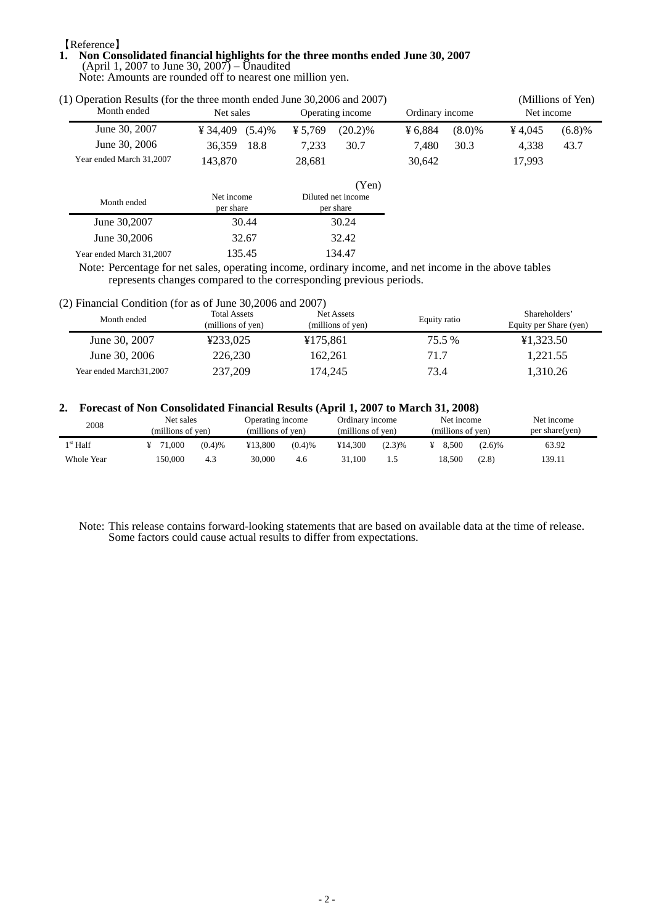## 【Reference】

 $\blacksquare$ 

## **1. Non Consolidated financial highlights for the three months ended June 30, 2007**  (April 1, 2007 to June 30, 2007) – Unaudited

Note: Amounts are rounded off to nearest one million yen.

| (1) Operation Results (for the three month ended June 30,2006 and 2007) |                    | (Millions of Yen) |            |                 |           |            |        |  |
|-------------------------------------------------------------------------|--------------------|-------------------|------------|-----------------|-----------|------------|--------|--|
| Month ended                                                             | Net sales          | Operating income  |            | Ordinary income |           | Net income |        |  |
| June 30, 2007                                                           | ¥ 34,409 $(5.4)$ % | ¥ 5.769           | $(20.2)\%$ | ¥ 6.884         | $(8.0)\%$ | 4.045      | (6.8)% |  |
| June 30, 2006                                                           | 36.359             | 18.8<br>7.233     | 30.7       | 7.480           | 30.3      | 4.338      | 43.7   |  |
| Year ended March 31,2007                                                | 143,870            | 28.681            |            | 30.642          |           | 17.993     |        |  |

|                          |                         | (Yen)                           |
|--------------------------|-------------------------|---------------------------------|
| Month ended              | Net income<br>per share | Diluted net income<br>per share |
| June 30,2007             | 30.44                   | 30.24                           |
| June 30,2006             | 32.67                   | 32.42                           |
| Year ended March 31,2007 | 135.45                  | 134.47                          |

Note: Percentage for net sales, operating income, ordinary income, and net income in the above tables represents changes compared to the corresponding previous periods.

#### (2) Financial Condition (for as of June 30,2006 and 2007)

| Month ended               | <b>Total Assets</b><br>(millions of yen) | Net Assets<br>(millions of yen) | Equity ratio | Shareholders'<br>Equity per Share (yen) |
|---------------------------|------------------------------------------|---------------------------------|--------------|-----------------------------------------|
| June 30, 2007             | ¥233.025                                 | ¥175.861                        | 75.5 %       | ¥1.323.50                               |
| June 30, 2006             | 226,230                                  | 162.261                         | 71.7         | 1.221.55                                |
| Year ended March 31, 2007 | 237,209                                  | 174.245                         | 73.4         | 1.310.26                                |

## **2. Forecast of Non Consolidated Financial Results (April 1, 2007 to March 31, 2008)**

| 2008              | Net sales<br>(millions of yen) |        |         | Operating income<br>(millions of yen) |         | Ordinary income<br>(millions of yen) |  | Net income<br>(millions of yen) |        | Net income<br>per share(yen) |  |
|-------------------|--------------------------------|--------|---------|---------------------------------------|---------|--------------------------------------|--|---------------------------------|--------|------------------------------|--|
| $1^{\rm st}$ Half | 71,000                         | (0.4)% | ¥13.800 | (0.4)%                                | ¥14.300 | (2.3)%                               |  | 8.500                           | (2.6)% | 63.92                        |  |
| Whole Year        | 150.000                        | 4.3    | 30.000  | 4.6                                   | 31.100  |                                      |  | 18.500                          | (2.8)  | 139.11                       |  |

Note: This release contains forward-looking statements that are based on available data at the time of release. Some factors could cause actual results to differ from expectations.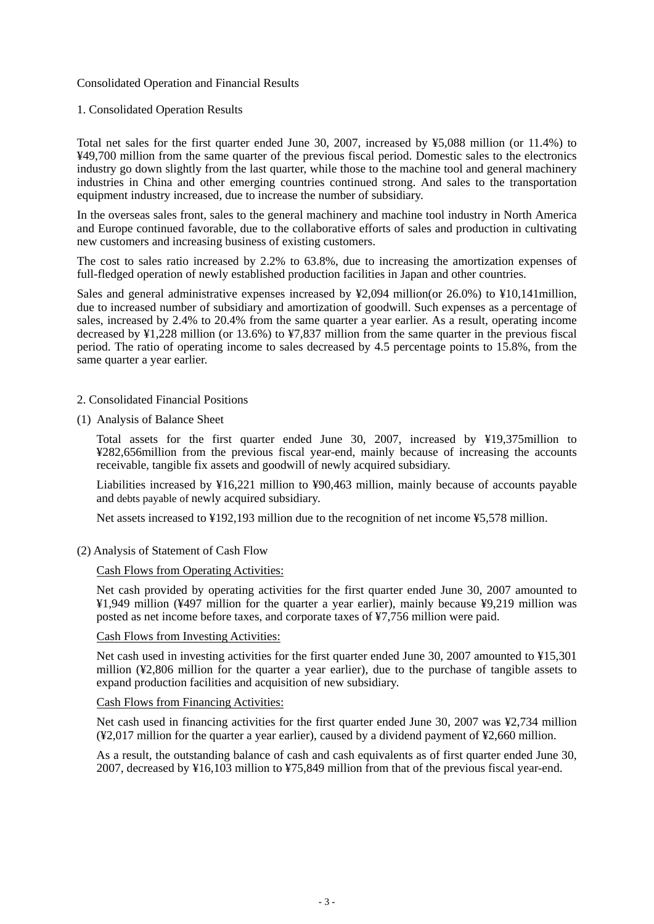## Consolidated Operation and Financial Results

## 1. Consolidated Operation Results

Total net sales for the first quarter ended June 30, 2007, increased by ¥5,088 million (or 11.4%) to ¥49,700 million from the same quarter of the previous fiscal period. Domestic sales to the electronics industry go down slightly from the last quarter, while those to the machine tool and general machinery industries in China and other emerging countries continued strong. And sales to the transportation equipment industry increased, due to increase the number of subsidiary.

In the overseas sales front, sales to the general machinery and machine tool industry in North America and Europe continued favorable, due to the collaborative efforts of sales and production in cultivating new customers and increasing business of existing customers.

The cost to sales ratio increased by 2.2% to 63.8%, due to increasing the amortization expenses of full-fledged operation of newly established production facilities in Japan and other countries.

Sales and general administrative expenses increased by ¥2,094 million(or 26.0%) to ¥10,141million, due to increased number of subsidiary and amortization of goodwill. Such expenses as a percentage of sales, increased by 2.4% to 20.4% from the same quarter a year earlier. As a result, operating income decreased by ¥1,228 million (or 13.6%) to ¥7,837 million from the same quarter in the previous fiscal period. The ratio of operating income to sales decreased by 4.5 percentage points to 15.8%, from the same quarter a year earlier.

## 2. Consolidated Financial Positions

(1) Analysis of Balance Sheet

Total assets for the first quarter ended June 30, 2007, increased by ¥19,375million to ¥282,656million from the previous fiscal year-end, mainly because of increasing the accounts receivable, tangible fix assets and goodwill of newly acquired subsidiary.

Liabilities increased by ¥16,221 million to ¥90,463 million, mainly because of accounts payable and debts payable of newly acquired subsidiary.

Net assets increased to ¥192,193 million due to the recognition of net income ¥5,578 million.

(2) Analysis of Statement of Cash Flow

## Cash Flows from Operating Activities:

Net cash provided by operating activities for the first quarter ended June 30, 2007 amounted to ¥1,949 million (¥497 million for the quarter a year earlier), mainly because ¥9,219 million was posted as net income before taxes, and corporate taxes of ¥7,756 million were paid.

## Cash Flows from Investing Activities:

Net cash used in investing activities for the first quarter ended June 30, 2007 amounted to ¥15,301 million (¥2,806 million for the quarter a year earlier), due to the purchase of tangible assets to expand production facilities and acquisition of new subsidiary.

## Cash Flows from Financing Activities:

Net cash used in financing activities for the first quarter ended June 30, 2007 was ¥2,734 million (¥2,017 million for the quarter a year earlier), caused by a dividend payment of ¥2,660 million.

As a result, the outstanding balance of cash and cash equivalents as of first quarter ended June 30, 2007, decreased by ¥16,103 million to ¥75,849 million from that of the previous fiscal year-end.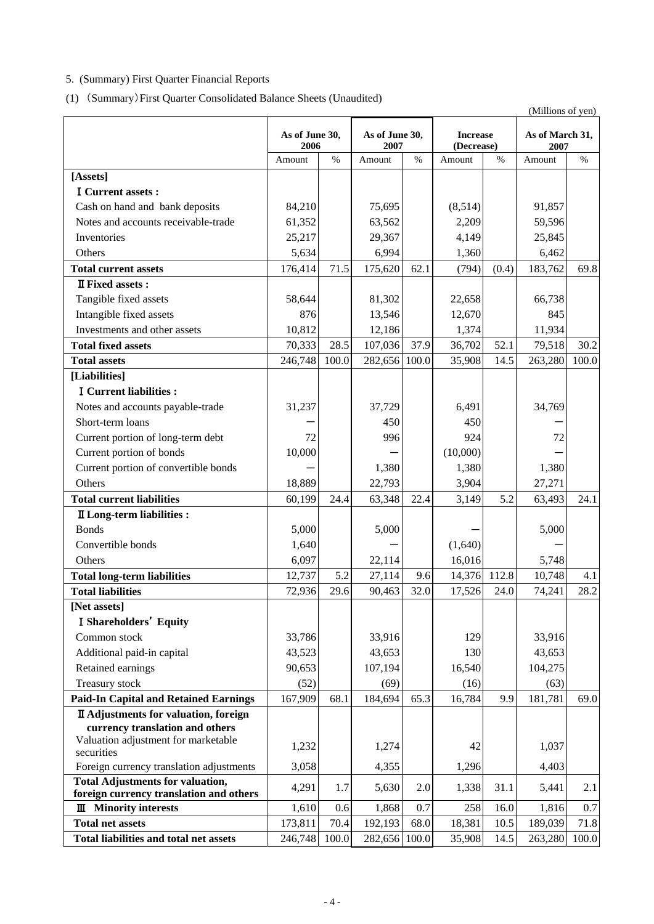# 5. (Summary) First Quarter Financial Reports

(1) (Summary)First Quarter Consolidated Balance Sheets (Unaudited)

|                                                                                 | (Millions of yen)      |       |                        |       |                               |       |                         |       |
|---------------------------------------------------------------------------------|------------------------|-------|------------------------|-------|-------------------------------|-------|-------------------------|-------|
|                                                                                 | As of June 30,<br>2006 |       | As of June 30,<br>2007 |       | <b>Increase</b><br>(Decrease) |       | As of March 31,<br>2007 |       |
|                                                                                 | Amount                 | $\%$  | Amount                 | $\%$  | Amount                        | $\%$  | Amount                  | $\%$  |
| [Assets]                                                                        |                        |       |                        |       |                               |       |                         |       |
| I Current assets :                                                              |                        |       |                        |       |                               |       |                         |       |
| Cash on hand and bank deposits                                                  | 84,210                 |       | 75,695                 |       | (8,514)                       |       | 91,857                  |       |
| Notes and accounts receivable-trade                                             | 61,352                 |       | 63,562                 |       | 2,209                         |       | 59,596                  |       |
| Inventories                                                                     | 25,217                 |       | 29,367                 |       | 4,149                         |       | 25,845                  |       |
| Others                                                                          | 5,634                  |       | 6,994                  |       | 1,360                         |       | 6,462                   |       |
| <b>Total current assets</b>                                                     | 176,414                | 71.5  | 175,620                | 62.1  | (794)                         | (0.4) | 183,762                 | 69.8  |
| <b>II</b> Fixed assets :                                                        |                        |       |                        |       |                               |       |                         |       |
| Tangible fixed assets                                                           | 58,644                 |       | 81,302                 |       | 22,658                        |       | 66,738                  |       |
| Intangible fixed assets                                                         | 876                    |       | 13,546                 |       | 12,670                        |       | 845                     |       |
| Investments and other assets                                                    | 10,812                 |       | 12,186                 |       | 1,374                         |       | 11,934                  |       |
| <b>Total fixed assets</b>                                                       | 70,333                 | 28.5  | 107,036                | 37.9  | 36,702                        | 52.1  | 79,518                  | 30.2  |
| <b>Total assets</b>                                                             | 246,748                | 100.0 | 282,656                | 100.0 | 35,908                        | 14.5  | 263,280                 | 100.0 |
| [Liabilities]                                                                   |                        |       |                        |       |                               |       |                         |       |
| <b>I</b> Current liabilities :                                                  |                        |       |                        |       |                               |       |                         |       |
| Notes and accounts payable-trade                                                | 31,237                 |       | 37,729                 |       | 6,491                         |       | 34,769                  |       |
| Short-term loans                                                                |                        |       | 450                    |       | 450                           |       |                         |       |
| Current portion of long-term debt                                               | 72                     |       | 996                    |       | 924                           |       | 72                      |       |
| Current portion of bonds                                                        | 10,000                 |       |                        |       | (10,000)                      |       |                         |       |
| Current portion of convertible bonds                                            |                        |       | 1,380                  |       | 1,380                         |       | 1,380                   |       |
| Others                                                                          | 18,889                 |       | 22,793                 |       | 3,904                         |       | 27,271                  |       |
| <b>Total current liabilities</b>                                                | 60,199                 | 24.4  | 63,348                 | 22.4  | 3,149                         | 5.2   | 63,493                  | 24.1  |
| <b>II</b> Long-term liabilities :                                               |                        |       |                        |       |                               |       |                         |       |
| <b>Bonds</b>                                                                    | 5,000                  |       | 5,000                  |       |                               |       | 5,000                   |       |
| Convertible bonds                                                               | 1,640                  |       |                        |       | (1,640)                       |       |                         |       |
| Others                                                                          | 6,097                  |       | 22,114                 |       | 16,016                        |       | 5,748                   |       |
| <b>Total long-term liabilities</b>                                              | 12,737                 | 5.2   | 27,114                 | 9.6   | 14,376 112.8                  |       | 10,748                  | 4.1   |
| <b>Total liabilities</b>                                                        | 72,936                 | 29.6  | 90,463                 | 32.0  | 17,526                        | 24.0  | 74,241                  | 28.2  |
| [Net assets]                                                                    |                        |       |                        |       |                               |       |                         |       |
| <b>I Shareholders' Equity</b>                                                   |                        |       |                        |       |                               |       |                         |       |
| Common stock                                                                    | 33,786                 |       | 33,916                 |       | 129                           |       | 33,916                  |       |
| Additional paid-in capital                                                      | 43,523                 |       | 43,653                 |       | 130                           |       | 43,653                  |       |
| Retained earnings                                                               | 90,653                 |       | 107,194                |       | 16,540                        |       | 104,275                 |       |
| Treasury stock                                                                  | (52)                   |       | (69)                   |       | (16)                          |       | (63)                    |       |
| <b>Paid-In Capital and Retained Earnings</b>                                    | 167,909                | 68.1  | 184,694                | 65.3  | 16,784                        | 9.9   | 181,781                 | 69.0  |
| <b>II</b> Adjustments for valuation, foreign<br>currency translation and others |                        |       |                        |       |                               |       |                         |       |
| Valuation adjustment for marketable                                             |                        |       |                        |       |                               |       |                         |       |
| securities                                                                      | 1,232                  |       | 1,274                  |       | 42                            |       | 1,037                   |       |
| Foreign currency translation adjustments                                        | 3,058                  |       | 4,355                  |       | 1,296                         |       | 4,403                   |       |
| <b>Total Adjustments for valuation,</b>                                         | 4,291                  | 1.7   | 5,630                  | 2.0   | 1,338                         | 31.1  | 5,441                   | 2.1   |
| foreign currency translation and others                                         |                        |       |                        |       |                               |       |                         |       |
| <b>Minority interests</b><br>Ш                                                  | 1,610                  | 0.6   | 1,868                  | 0.7   | 258                           | 16.0  | 1,816                   | 0.7   |
| <b>Total net assets</b>                                                         | 173,811                | 70.4  | 192,193                | 68.0  | 18,381                        | 10.5  | 189,039                 | 71.8  |
| Total liabilities and total net assets                                          | 246,748                | 100.0 | 282,656 100.0          |       | 35,908                        | 14.5  | 263,280                 | 100.0 |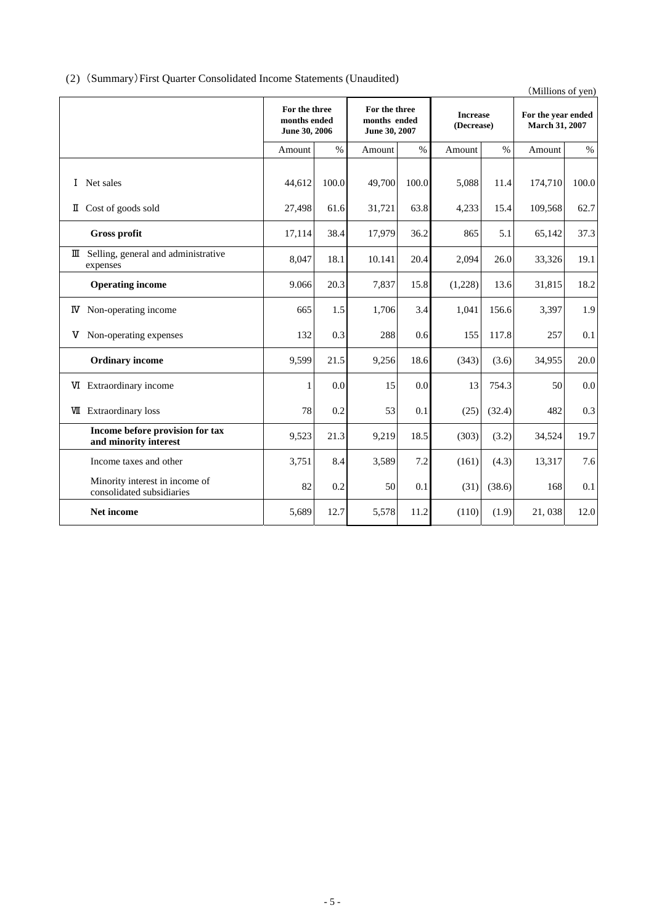## (2) (Summary)First Quarter Consolidated Income Statements (Unaudited)

|                                                |       |                                                |      |                               |                             | (Millions of yen)                    |       |
|------------------------------------------------|-------|------------------------------------------------|------|-------------------------------|-----------------------------|--------------------------------------|-------|
| For the three<br>months ended<br>June 30, 2006 |       | For the three<br>months ended<br>June 30, 2007 |      | <b>Increase</b><br>(Decrease) |                             | For the year ended<br>March 31, 2007 |       |
| Amount                                         | $\%$  | Amount                                         | $\%$ | Amount                        | $\%$                        | Amount                               | $\%$  |
| 44,612                                         | 100.0 | 49,700                                         |      | 5,088                         | 11.4                        | 174,710                              | 100.0 |
| 27,498                                         | 61.6  | 31,721                                         | 63.8 | 4,233                         | 15.4                        | 109,568                              | 62.7  |
| 17,114                                         | 38.4  | 17,979                                         | 36.2 | 865                           | 5.1                         | 65,142                               | 37.3  |
| 8,047                                          | 18.1  | 10.141                                         | 20.4 | 2,094                         | 26.0                        | 33,326                               | 19.1  |
| 9.066                                          | 20.3  | 7,837                                          |      | (1,228)                       | 13.6                        | 31,815                               | 18.2  |
| 665                                            | 1.5   | 1,706                                          | 3.4  | 1,041                         | 156.6                       | 3,397                                | 1.9   |
| 132                                            | 0.3   | 288                                            |      | 155                           | 117.8                       | 257                                  | 0.1   |
| 9.599                                          | 21.5  | 9,256                                          | 18.6 |                               | (3.6)                       | 34,955                               | 20.0  |
| 1                                              | 0.0   | 15                                             |      | 13                            | 754.3                       | 50                                   | 0.0   |
| 78                                             | 0.2   | 53                                             | 0.1  |                               | (32.4)                      | 482                                  | 0.3   |
| 9,523                                          | 21.3  | 9,219                                          | 18.5 | (303)                         | (3.2)                       | 34,524                               | 19.7  |
| 3,751                                          | 8.4   | 3,589                                          | 7.2  | (161)                         | (4.3)                       | 13,317                               | 7.6   |
| 82                                             | 0.2   | 50                                             | 0.1  |                               | (38.6)                      | 168                                  | 0.1   |
| 5,689                                          | 12.7  | 5,578                                          | 11.2 | (110)                         | (1.9)                       | 21,038                               | 12.0  |
|                                                |       |                                                |      |                               | 100.0<br>15.8<br>0.6<br>0.0 | (343)<br>(25)<br>(31)                |       |